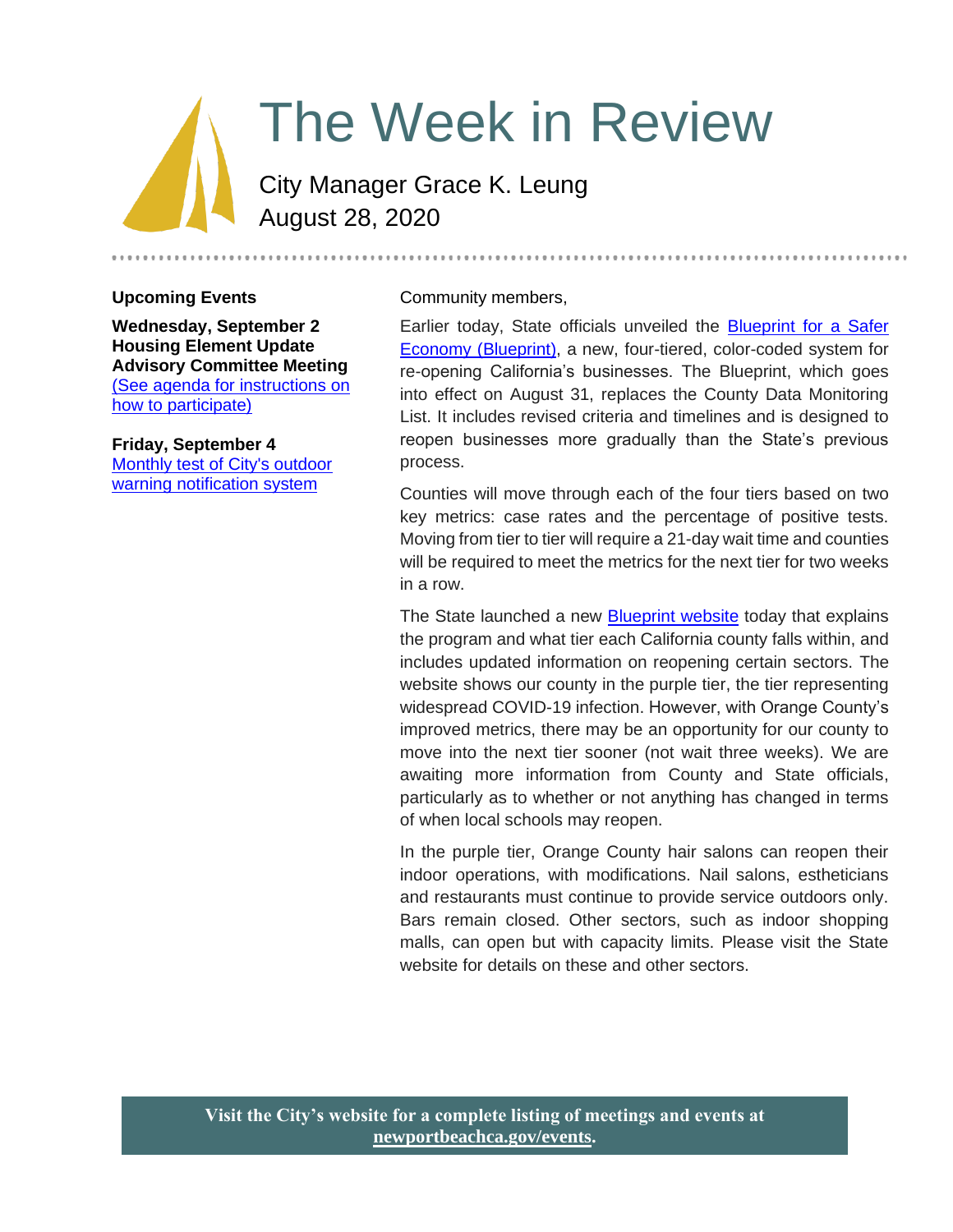# The Week in Review

City Manager Grace K. Leung August 28, 2020

#### **Upcoming Events**

**Wednesday, September 2 Housing Element Update Advisory Committee Meeting** [\(See agenda for instructions on](https://newportbeachca.gov/Home/Components/Calendar/Event/63942/72?curm=9&cury=2020)  [how to participate\)](https://newportbeachca.gov/Home/Components/Calendar/Event/63942/72?curm=9&cury=2020)

**Friday, September 4** [Monthly test of City's outdoor](https://newportbeachca.gov/Home/Components/Calendar/Event/63485/72?curm=9&cury=2020)  [warning notification system](https://newportbeachca.gov/Home/Components/Calendar/Event/63485/72?curm=9&cury=2020)

#### Community members,

Earlier today, State officials unveiled the **Blueprint for a Safer** [Economy \(Blueprint\),](https://covid19.ca.gov/safer-economy/) a new, four-tiered, color-coded system for re-opening California's businesses. The Blueprint, which goes into effect on August 31, replaces the County Data Monitoring List. It includes revised criteria and timelines and is designed to reopen businesses more gradually than the State's previous process.

Counties will move through each of the four tiers based on two key metrics: case rates and the percentage of positive tests. Moving from tier to tier will require a 21-day wait time and counties will be required to meet the metrics for the next tier for two weeks in a row.

The State launched a new [Blueprint website](https://covid19.ca.gov/safer-economy/) today that explains the program and what tier each California county falls within, and includes updated information on reopening certain sectors. The website shows our county in the purple tier, the tier representing widespread COVID-19 infection. However, with Orange County's improved metrics, there may be an opportunity for our county to move into the next tier sooner (not wait three weeks). We are awaiting more information from County and State officials, particularly as to whether or not anything has changed in terms of when local schools may reopen.

In the purple tier, Orange County hair salons can reopen their indoor operations, with modifications. Nail salons, estheticians and restaurants must continue to provide service outdoors only. Bars remain closed. Other sectors, such as indoor shopping malls, can open but with capacity limits. Please visit the State website for details on these and other sectors.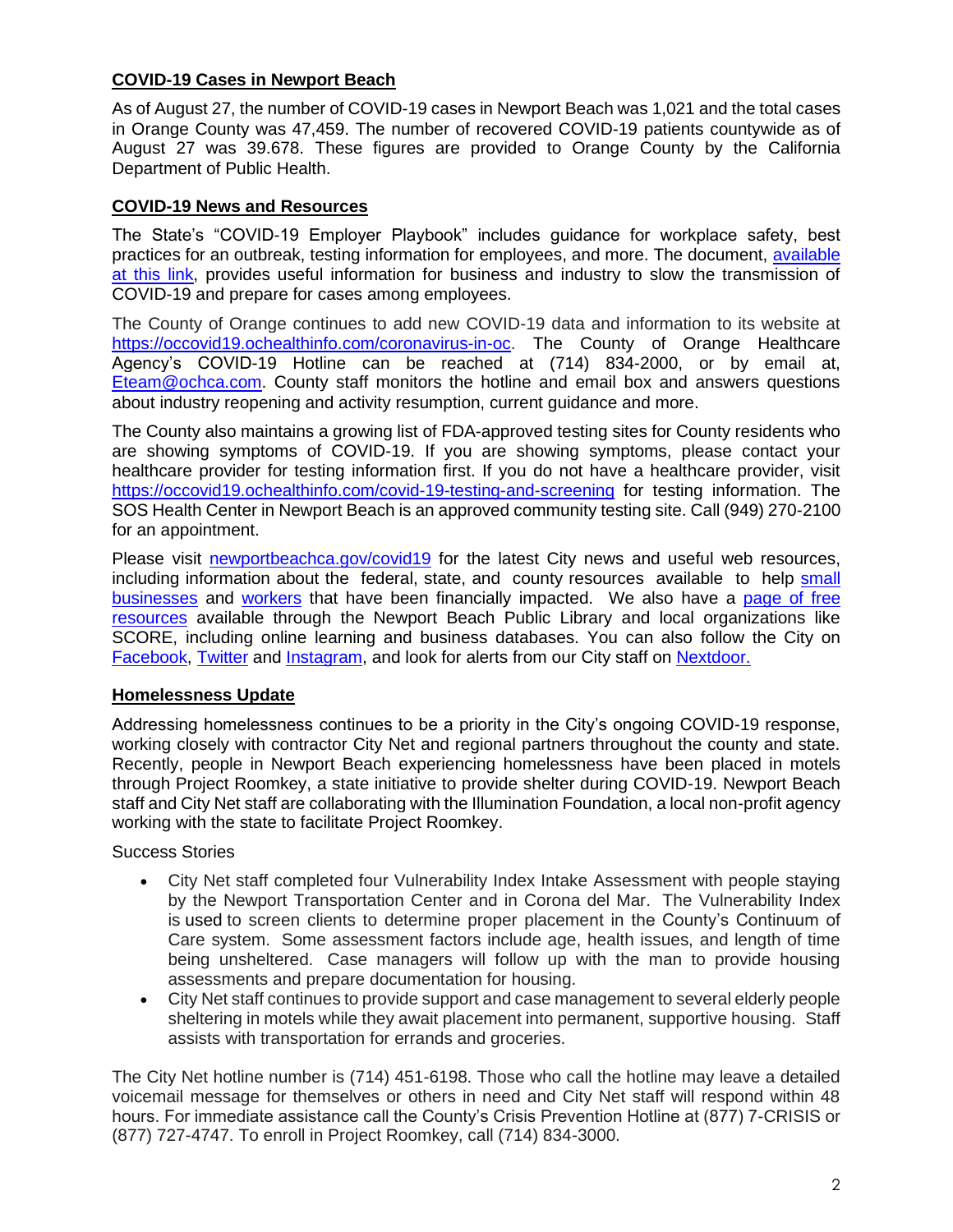## **COVID-19 Cases in Newport Beach**

As of August 27, the number of COVID-19 cases in Newport Beach was 1,021 and the total cases in Orange County was 47,459. The number of recovered COVID-19 patients countywide as of August 27 was 39.678. These figures are provided to Orange County by the California Department of Public Health.

### **COVID-19 News and Resources**

The State's "COVID-19 Employer Playbook" includes guidance for workplace safety, best practices for an outbreak, testing information for employees, and more. The document, [available](https://files.covid19.ca.gov/pdf/employer-playbook-for-safe-reopening--en.pdf)  [at this link,](https://files.covid19.ca.gov/pdf/employer-playbook-for-safe-reopening--en.pdf) provides useful information for business and industry to slow the transmission of COVID-19 and prepare for cases among employees.

The County of Orange continues to add new COVID-19 data and information to its website at [https://occovid19.ochealthinfo.com/coronavirus-in-oc.](https://occovid19.ochealthinfo.com/coronavirus-in-oc) The County of Orange Healthcare Agency's COVID-19 Hotline can be reached at (714) 834-2000, or by email at, [Eteam@ochca.com.](mailto:Eteam@ochca.com) County staff monitors the hotline and email box and answers questions about industry reopening and activity resumption, current guidance and more.

The County also maintains a growing list of FDA-approved testing sites for County residents who are showing symptoms of COVID-19. If you are showing symptoms, please contact your healthcare provider for testing information first. If you do not have a healthcare provider, visit <https://occovid19.ochealthinfo.com/covid-19-testing-and-screening> for testing information. The SOS Health Center in Newport Beach is an approved community testing site. Call (949) 270-2100 for an appointment.

Please visit [newportbeachca.gov/covid19](https://www.newportbeachca.gov/how-do-i/find/disaster-preparedness-information/disease-outbreak/-fsiteid-1) for the latest City news and useful web resources, including information about the federal, state, and county resources available to help small [businesses](https://www.newportbeachca.gov/government/departments/city-manager/economic-development/small-business-support) and [workers](https://www.newportbeachca.gov/government/departments/city-manager/economic-development/support-for-employees) that have been financially impacted. We also have a [page of free](https://www.newportbeachca.gov/government/departments/city-manager/economic-development/small-business-support/business-employee-resources)  [resources](https://www.newportbeachca.gov/government/departments/city-manager/economic-development/small-business-support/business-employee-resources) available through the Newport Beach Public Library and local organizations like SCORE, including online learning and business databases. You can also follow the City on [Facebook,](https://www.facebook.com/pg/CityofNewportBeach) [Twitter](https://twitter.com/newportbeachgov) and [Instagram,](https://www.instagram.com/cityofnewportbeach/) and look for alerts from our City staff on [Nextdoor.](https://nextdoor.com/agency/city-of-newport-beach/?i=ltdytbjdbdkntfqttgcm)

#### **Homelessness Update**

Addressing homelessness continues to be a priority in the City's ongoing COVID-19 response, working closely with contractor City Net and regional partners throughout the county and state. Recently, people in Newport Beach experiencing homelessness have been placed in motels through Project Roomkey, a state initiative to provide shelter during COVID-19. Newport Beach staff and City Net staff are collaborating with the Illumination Foundation, a local non-profit agency working with the state to facilitate Project Roomkey.

Success Stories

- City Net staff completed four Vulnerability Index Intake Assessment with people staying by the Newport Transportation Center and in Corona del Mar. The Vulnerability Index is used to screen clients to determine proper placement in the County's Continuum of Care system. Some assessment factors include age, health issues, and length of time being unsheltered. Case managers will follow up with the man to provide housing assessments and prepare documentation for housing.
- City Net staff continues to provide support and case management to several elderly people sheltering in motels while they await placement into permanent, supportive housing. Staff assists with transportation for errands and groceries.

The City Net hotline number is (714) 451-6198. Those who call the hotline may leave a detailed voicemail message for themselves or others in need and City Net staff will respond within 48 hours. For immediate assistance call the County's Crisis Prevention Hotline at (877) 7-CRISIS or (877) 727-4747. To enroll in Project Roomkey, call (714) 834-3000.